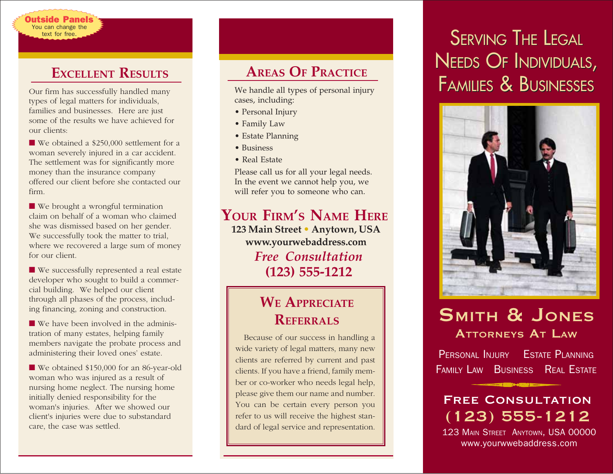### **EXCELLENT RESULTS**

You can change the text for free. )utside Panel:

types of legal matters for individuals, families and businesses. Here are just some of the results we have achieved for our clients:

■ We obtained a \$250,000 settlement for a woman severely injured in a car accident. The settlement was for significantly more money than the insurance company offered our client before she contacted our firm.

■ We brought a wrongful termination claim on behalf of a woman who claimed she was dismissed based on her gender. We successfully took the matter to trial, where we recovered a large sum of money for our client.

■ We successfully represented a real estate developer who sought to build a commercial building. We helped our client through all phases of the process, including financing, zoning and construction.

■ We have been involved in the administration of many estates, helping family members navigate the probate process and administering their loved ones' estate.

■ We obtained \$150,000 for an 86-year-old woman who was injured as a result of nursing home neglect. The nursing home initially denied responsibility for the woman's injuries. After we showed our client's injuries were due to substandard care, the case was settled.

# **AREAS OF PRACTICE**

We handle all types of personal injury cases, including:

- Personal Injury
- Family Law
- Estate Planning
- Business
- Real Estate

Please call us for all your legal needs. In the event we cannot help you, we will refer you to someone who can.

#### **YOUR FIRM'S NAME HERE 123 Main Street • Anytown, USA**

*Free Consultation* **(123) 555-1212 www.yourwebaddress.com**

# **WE APPRECIATE REFERRALS**

Because of our success in handling a wide variety of legal matters, many new clients are referred by current and past clients. If you have a friend, family member or co-worker who needs legal help, please give them our name and number. You can be certain every person you refer to us will receive the highest standard of legal service and representation.

# SERVING THE LEGAL SERVING THE LEGAL NEEDS OF INDIVIDUALS, NEEDS OF INDIVIDUALS, Our firm has successfully handled many We handle all types of personal injury **FAMILIES & BUSINESSES**



# SMITH & JONES ATTORNEYS AT LAW

PERSONAL INJURY ESTATE PLANNING FAMILY LAW BUSINESS REAL ESTATE

# Free Consultation (123) 555-1212

123 MAIN STREET ANYTOWN, USA 00000 www.yourwwebaddress.com